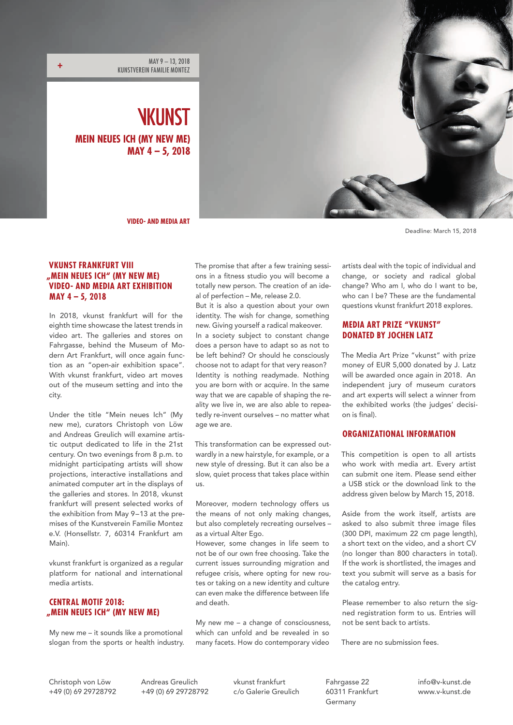MAY 9 – 13, 2018 KUNSTVEREIN FAMILIE MONTEZ **+**

> NKIINST **MEIN NEUES ICH (MY NEW ME) MAY 4 – 5, 2018**



**VIDEO- AND MEDIA ART**

Deadline: March 15, 2018

# **VKUNST FRANKFURT VIII "MEIN NEUES ICH" (MY NEW ME) VIDEO- AND MEDIA ART EXHIBITION MAY 4 – 5, 2018**

In 2018, vkunst frankfurt will for the eighth time showcase the latest trends in video art. The galleries and stores on Fahrgasse, behind the Museum of Modern Art Frankfurt, will once again function as an "open-air exhibition space". With vkunst frankfurt, video art moves out of the museum setting and into the city.

Under the title "Mein neues Ich" (My new me), curators Christoph von Löw and Andreas Greulich will examine artistic output dedicated to life in the 21st century. On two evenings from 8 p.m. to midnight participating artists will show projections, interactive installations and animated computer art in the displays of the galleries and stores. In 2018, vkunst frankfurt will present selected works of the exhibition from May 9–13 at the premises of the Kunstverein Familie Montez e.V. (Honsellstr. 7, 60314 Frankfurt am Main).

vkunst frankfurt is organized as a regular platform for national and international media artists.

# **CENTRAL MOTIF 2018: "MEIN NEUES ICH" (MY NEW ME)**

My new me – it sounds like a promotional slogan from the sports or health industry. The promise that after a few training sessions in a fitness studio you will become a totally new person. The creation of an ideal of perfection – Me, release 2.0.

But it is also a question about your own identity. The wish for change, something new. Giving yourself a radical makeover.

In a society subject to constant change does a person have to adapt so as not to be left behind? Or should he consciously choose not to adapt for that very reason? Identity is nothing readymade. Nothing you are born with or acquire. In the same way that we are capable of shaping the reality we live in, we are also able to repeatedly re-invent ourselves – no matter what age we are.

This transformation can be expressed outwardly in a new hairstyle, for example, or a new style of dressing. But it can also be a slow, quiet process that takes place within us.

Moreover, modern technology offers us the means of not only making changes, but also completely recreating ourselves – as a virtual Alter Ego.

However, some changes in life seem to not be of our own free choosing. Take the current issues surrounding migration and refugee crisis, where opting for new routes or taking on a new identity and culture can even make the difference between life and death.

My new me – a change of consciousness, which can unfold and be revealed in so many facets. How do contemporary video

artists deal with the topic of individual and change, or society and radical global change? Who am I, who do I want to be, who can I be? These are the fundamental questions vkunst frankfurt 2018 explores.

# **MEDIA ART PRIZE "VKUNST" DONATED BY JOCHEN LATZ**

The Media Art Prize "vkunst" with prize money of EUR 5,000 donated by J. Latz will be awarded once again in 2018. An independent jury of museum curators and art experts will select a winner from the exhibited works (the judges' decision is final).

## **ORGANIZATIONAL INFORMATION**

This competition is open to all artists who work with media art. Every artist can submit one item. Please send either a USB stick or the download link to the address given below by March 15, 2018.

Aside from the work itself, artists are asked to also submit three image files (300 DPI, maximum 22 cm page length), a short text on the video, and a short CV (no longer than 800 characters in total). If the work is shortlisted, the images and text you submit will serve as a basis for the catalog entry.

Please remember to also return the signed registration form to us. Entries will not be sent back to artists.

There are no submission fees.

Andreas Greulich +49 (0) 69 29728792 vkunst frankfurt c/o Galerie Greulich

Fahrgasse 22 60311 Frankfurt Germany

info@v-kunst.de www.v-kunst.de